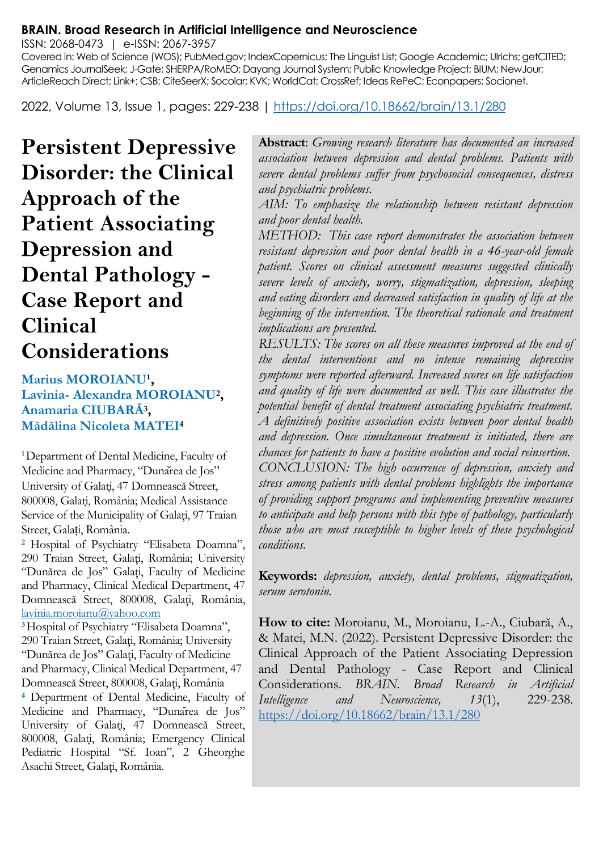#### **BRAIN. Broad Research in Artificial Intelligence and Neuroscience**

ISSN: 2068-0473 | e-ISSN: 2067-3957

Covered in: Web of Science (WOS); PubMed.gov; IndexCopernicus; The Linguist List; Google Academic; Ulrichs; getCITED; Genamics JournalSeek; J-Gate; SHERPA/RoMEO; Dayang Journal System; Public Knowledge Project; BIUM; NewJour; ArticleReach Direct; Link+; CSB; CiteSeerX; Socolar; KVK; WorldCat; CrossRef; Ideas RePeC; Econpapers; Socionet.

2022, Volume 13, Issue 1, pages: 229-238 |<https://doi.org/10.18662/brain/13.1/280>

**Persistent Depressive Disorder: the Clinical Approach of the Patient Associating Depression and Dental Pathology - Case Report and Clinical Considerations**

Marius MOROIANU<sup>1</sup>, **Lavinia- Alexandra MOROIANU<sup>2</sup> , Anamaria CIUBARĂ<sup>3</sup> , Mădălina Nicoleta MATEI<sup>4</sup>**

**<sup>1</sup>**Department of Dental Medicine, Faculty of Medicine and Pharmacy, "Dunarea de Jos" University of Galați, 47 Domnească Street, 800008, Galați, România; Medical Assistance Service of the Municipality of Galați, 97 Traian Street, Galați, România.

**<sup>2</sup>** Hospital of Psychiatry "Elisabeta Doamna", 290 Traian Street, Galaţi, România; University "Dunărea de Jos" Galaţi, Faculty of Medicine and Pharmacy, Clinical Medical Department, 47 Domnească Street, 800008, Galaţi, România, [lavinia.moroianu@yahoo.com](mailto:lavinia.moroianu@yahoo.com)

**<sup>3</sup>**Hospital of Psychiatry "Elisabeta Doamna", 290 Traian Street, Galaţi, România; University "Dunărea de Jos" Galaţi, Faculty of Medicine and Pharmacy, Clinical Medical Department, 47 Domnească Street, 800008, Galaţi, România

**<sup>4</sup>** Department of Dental Medicine, Faculty of Medicine and Pharmacy, "Dunarea de Jos" University of Galați, 47 Domnească Street, 800008, Galați, România; Emergency Clinical Pediatric Hospital "Sf. Ioan", 2 Gheorghe Asachi Street, Galaţi, România.

**Abstract**: *Growing research literature has documented an increased association between depression and dental problems. Patients with severe dental problems suffer from psychosocial consequences, distress and psychiatric problems.*

*AIM: To emphasize the relationship between resistant depression and poor dental health.*

*METHOD: This case report demonstrates the association between resistant depression and poor dental health in a 46-year-old female patient. Scores on clinical assessment measures suggested clinically severe levels of anxiety, worry, stigmatization, depression, sleeping and eating disorders and decreased satisfaction in quality of life at the beginning of the intervention. The theoretical rationale and treatment implications are presented.*

*RESULTS: The scores on all these measures improved at the end of the dental interventions and no intense remaining depressive symptoms were reported afterward. Increased scores on life satisfaction and quality of life were documented as well. This case illustrates the potential benefit of dental treatment associating psychiatric treatment. A definitively positive association exists between poor dental health and depression. Once simultaneous treatment is initiated, there are chances for patients to have a positive evolution and social reinsertion. CONCLUSION: The high occurrence of depression, anxiety and stress among patients with dental problems highlights the importance of providing support programs and implementing preventive measures to anticipate and help persons with this type of pathology, particularly those who are most susceptible to higher levels of these psychological conditions.*

**Keywords:** *depression, anxiety, dental problems, stigmatization, serum serotonin.*

**How to cite:** Moroianu, M., Moroianu, L.-A., Ciubară, A., & Matei, M.N. (2022). Persistent Depressive Disorder: the Clinical Approach of the Patient Associating Depression and Dental Pathology - Case Report and Clinical Considerations. *BRAIN. Broad Research in Artificial Intelligence and Neuroscience, 13*(1), 229-238. <https://doi.org/10.18662/brain/13.1/280>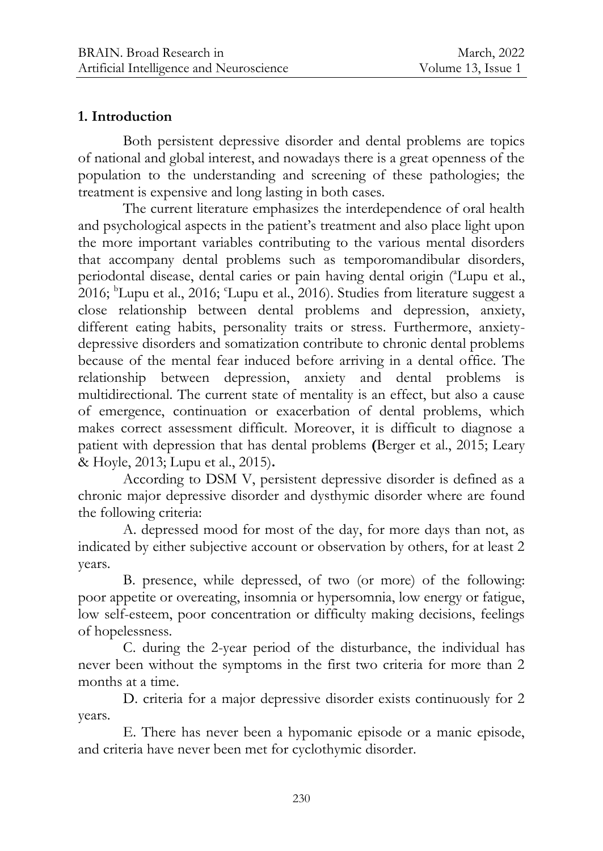## **1. Introduction**

Both persistent depressive disorder and dental problems are topics of national and global interest, and nowadays there is a great openness of the population to the understanding and screening of these pathologies; the treatment is expensive and long lasting in both cases.

The current literature emphasizes the interdependence of oral health and psychological aspects in the patient's treatment and also place light upon the more important variables contributing to the various mental disorders that accompany dental problems such as temporomandibular disorders, periodontal disease, dental caries or pain having dental origin (<sup>a</sup>Lupu et al., 2016;  ${}^{\text{b}}$ Lupu et al., 2016; 'Lupu et al., 2016). Studies from literature suggest a close relationship between dental problems and depression, anxiety, different eating habits, personality traits or stress. Furthermore, anxietydepressive disorders and somatization contribute to chronic dental problems because of the mental fear induced before arriving in a dental office. The relationship between depression, anxiety and dental problems is multidirectional. The current state of mentality is an effect, but also a cause of emergence, continuation or exacerbation of dental problems, which makes correct assessment difficult. Moreover, it is difficult to diagnose a patient with depression that has dental problems **(**Berger et al., 2015; Leary & Hoyle, 2013; Lupu et al., 2015)**.**

According to DSM V, persistent depressive disorder is defined as a chronic major depressive disorder and dysthymic disorder where are found the following criteria:

A. depressed mood for most of the day, for more days than not, as indicated by either subjective account or observation by others, for at least 2 years.

B. presence, while depressed, of two (or more) of the following: poor appetite or overeating, insomnia or hypersomnia, low energy or fatigue, low self-esteem, poor concentration or difficulty making decisions, feelings of hopelessness.

C. during the 2-year period of the disturbance, the individual has never been without the symptoms in the first two criteria for more than 2 months at a time.

D. criteria for a major depressive disorder exists continuously for 2 years.

E. There has never been a hypomanic episode or a manic episode, and criteria have never been met for cyclothymic disorder.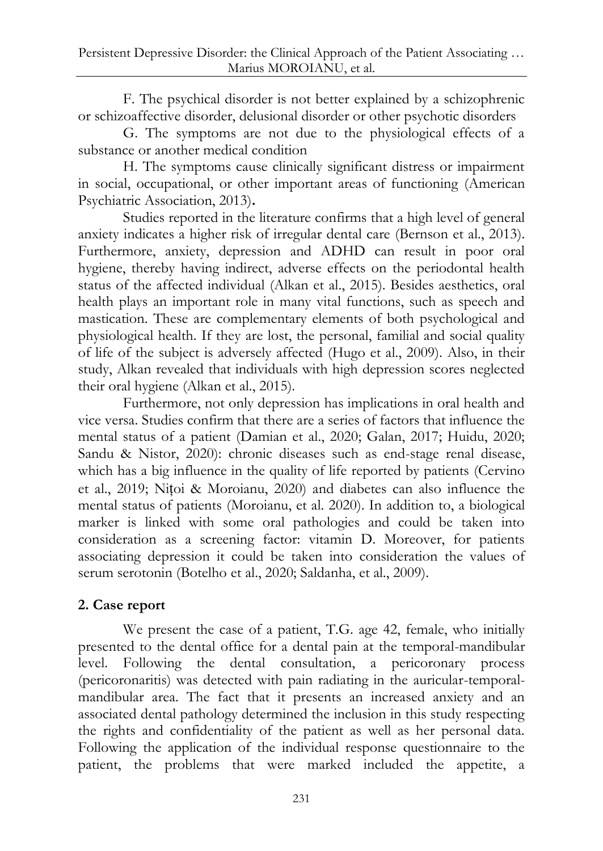F. The psychical disorder is not better explained by a schizophrenic or schizoaffective disorder, delusional disorder or other psychotic disorders

G. The symptoms are not due to the physiological effects of a substance or another medical condition

H. The symptoms cause clinically significant distress or impairment in social, occupational, or other important areas of functioning (American Psychiatric Association, 2013)**.**

Studies reported in the literature confirms that a high level of general anxiety indicates a higher risk of irregular dental care (Bernson et al., 2013). Furthermore, anxiety, depression and ADHD can result in poor oral hygiene, thereby having indirect, adverse effects on the periodontal health status of the affected individual (Alkan et al., 2015). Besides aesthetics, oral health plays an important role in many vital functions, such as speech and mastication. These are complementary elements of both psychological and physiological health. If they are lost, the personal, familial and social quality of life of the subject is adversely affected (Hugo et al., 2009). Also, in their study, Alkan revealed that individuals with high depression scores neglected their oral hygiene (Alkan et al., 2015).

Furthermore, not only depression has implications in oral health and vice versa. Studies confirm that there are a series of factors that influence the mental status of a patient (Damian et al., 2020; Galan, 2017; Huidu, 2020; Sandu & Nistor, 2020): chronic diseases such as end-stage renal disease, which has a big influence in the quality of life reported by patients (Cervino et al., 2019; Nițoi & Moroianu, 2020) and diabetes can also influence the mental status of patients (Moroianu, et al. 2020). In addition to, a biological marker is linked with some oral pathologies and could be taken into consideration as a screening factor: vitamin D. Moreover, for patients associating depression it could be taken into consideration the values of serum serotonin (Botelho et al., 2020; Saldanha, et al., 2009).

## **2. Case report**

We present the case of a patient, T.G. age 42, female, who initially presented to the dental office for a dental pain at the temporal-mandibular level. Following the dental consultation, a pericoronary process (pericoronaritis) was detected with pain radiating in the auricular-temporalmandibular area. The fact that it presents an increased anxiety and an associated dental pathology determined the inclusion in this study respecting the rights and confidentiality of the patient as well as her personal data. Following the application of the individual response questionnaire to the patient, the problems that were marked included the appetite, a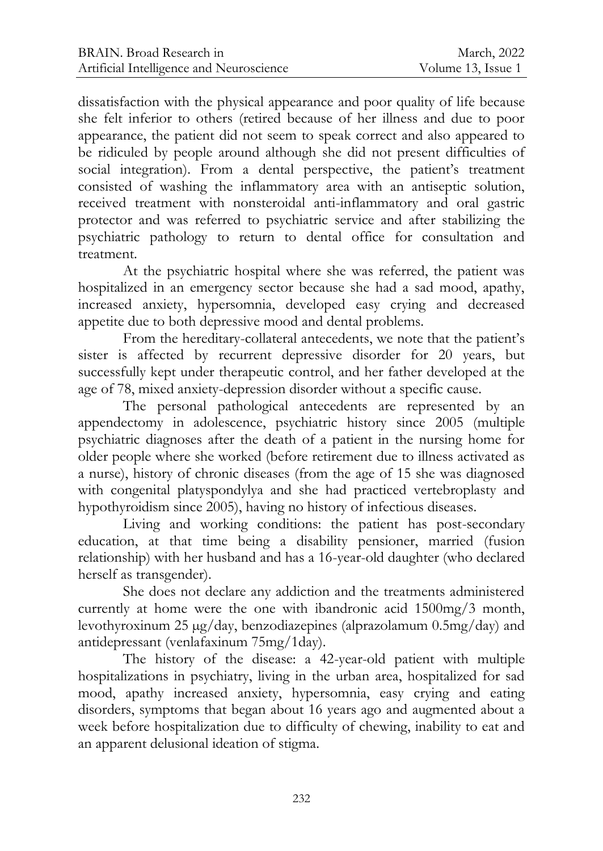dissatisfaction with the physical appearance and poor quality of life because she felt inferior to others (retired because of her illness and due to poor appearance, the patient did not seem to speak correct and also appeared to be ridiculed by people around although she did not present difficulties of social integration). From a dental perspective, the patient's treatment consisted of washing the inflammatory area with an antiseptic solution, received treatment with nonsteroidal anti-inflammatory and oral gastric protector and was referred to psychiatric service and after stabilizing the psychiatric pathology to return to dental office for consultation and treatment.

At the psychiatric hospital where she was referred, the patient was hospitalized in an emergency sector because she had a sad mood, apathy, increased anxiety, hypersomnia, developed easy crying and decreased appetite due to both depressive mood and dental problems.

From the hereditary-collateral antecedents, we note that the patient's sister is affected by recurrent depressive disorder for 20 years, but successfully kept under therapeutic control, and her father developed at the age of 78, mixed anxiety-depression disorder without a specific cause.

The personal pathological antecedents are represented by an appendectomy in adolescence, psychiatric history since 2005 (multiple psychiatric diagnoses after the death of a patient in the nursing home for older people where she worked (before retirement due to illness activated as a nurse), history of chronic diseases (from the age of 15 she was diagnosed with congenital platyspondylya and she had practiced vertebroplasty and hypothyroidism since 2005), having no history of infectious diseases.

Living and working conditions: the patient has post-secondary education, at that time being a disability pensioner, married (fusion relationship) with her husband and has a 16-year-old daughter (who declared herself as transgender).

She does not declare any addiction and the treatments administered currently at home were the one with ibandronic acid 1500mg/3 month, levothyroxinum 25 µg/day, benzodiazepines (alprazolamum 0.5mg/day) and antidepressant (venlafaxinum 75mg/1day).

The history of the disease: a 42-year-old patient with multiple hospitalizations in psychiatry, living in the urban area, hospitalized for sad mood, apathy increased anxiety, hypersomnia, easy crying and eating disorders, symptoms that began about 16 years ago and augmented about a week before hospitalization due to difficulty of chewing, inability to eat and an apparent delusional ideation of stigma.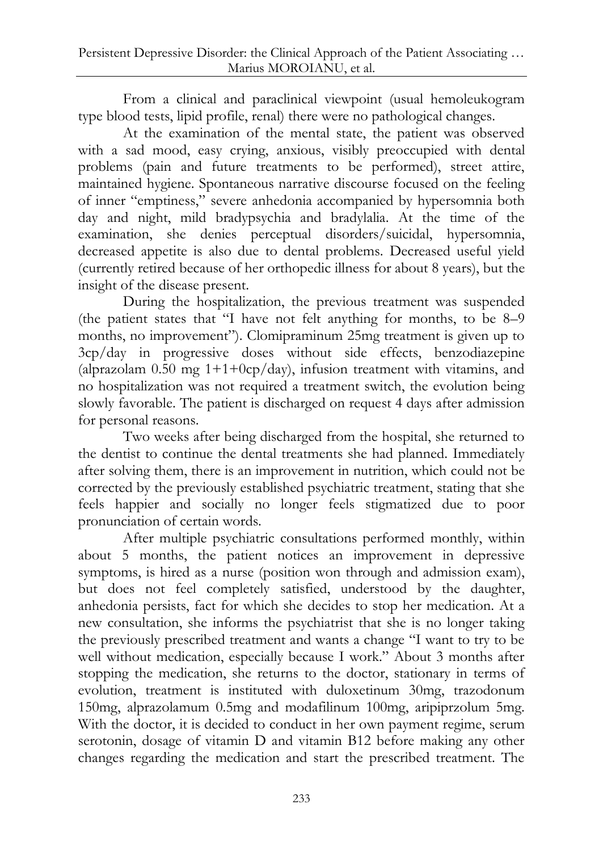From a clinical and paraclinical viewpoint (usual hemoleukogram type blood tests, lipid profile, renal) there were no pathological changes.

At the examination of the mental state, the patient was observed with a sad mood, easy crying, anxious, visibly preoccupied with dental problems (pain and future treatments to be performed), street attire, maintained hygiene. Spontaneous narrative discourse focused on the feeling of inner "emptiness," severe anhedonia accompanied by hypersomnia both day and night, mild bradypsychia and bradylalia. At the time of the examination, she denies perceptual disorders/suicidal, hypersomnia, decreased appetite is also due to dental problems. Decreased useful yield (currently retired because of her orthopedic illness for about 8 years), but the insight of the disease present.

During the hospitalization, the previous treatment was suspended (the patient states that "I have not felt anything for months, to be 8–9 months, no improvement"). Clomipraminum 25mg treatment is given up to 3cp/day in progressive doses without side effects, benzodiazepine (alprazolam  $0.50$  mg  $1+1+0cp/day$ ), infusion treatment with vitamins, and no hospitalization was not required a treatment switch, the evolution being slowly favorable. The patient is discharged on request 4 days after admission for personal reasons.

Two weeks after being discharged from the hospital, she returned to the dentist to continue the dental treatments she had planned. Immediately after solving them, there is an improvement in nutrition, which could not be corrected by the previously established psychiatric treatment, stating that she feels happier and socially no longer feels stigmatized due to poor pronunciation of certain words.

After multiple psychiatric consultations performed monthly, within about 5 months, the patient notices an improvement in depressive symptoms, is hired as a nurse (position won through and admission exam), but does not feel completely satisfied, understood by the daughter, anhedonia persists, fact for which she decides to stop her medication. At a new consultation, she informs the psychiatrist that she is no longer taking the previously prescribed treatment and wants a change "I want to try to be well without medication, especially because I work." About 3 months after stopping the medication, she returns to the doctor, stationary in terms of evolution, treatment is instituted with duloxetinum 30mg, trazodonum 150mg, alprazolamum 0.5mg and modafilinum 100mg, aripiprzolum 5mg. With the doctor, it is decided to conduct in her own payment regime, serum serotonin, dosage of vitamin D and vitamin B12 before making any other changes regarding the medication and start the prescribed treatment. The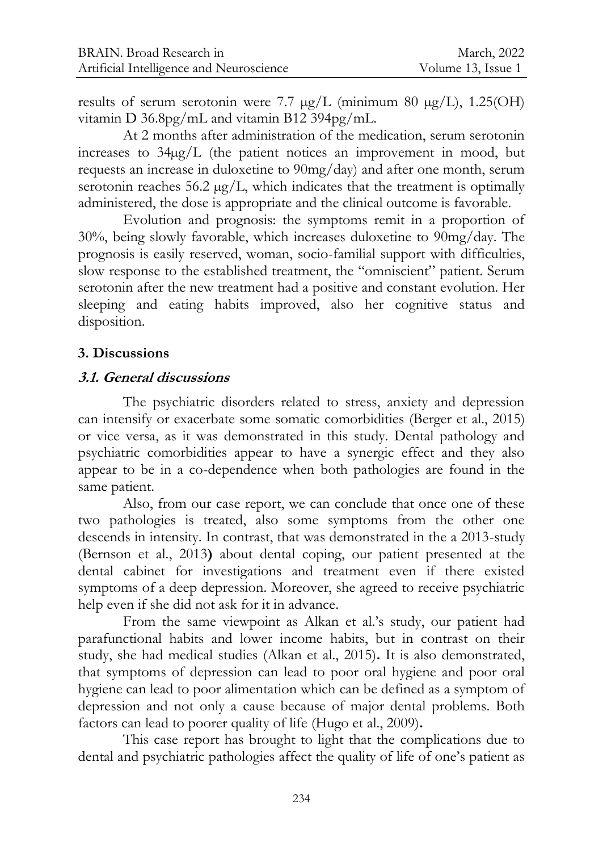results of serum serotonin were 7.7  $\mu$ g/L (minimum 80  $\mu$ g/L), 1.25(OH) vitamin D 36.8pg/mL and vitamin B12 394pg/mL.

At 2 months after administration of the medication, serum serotonin increases to 34µg/L (the patient notices an improvement in mood, but requests an increase in duloxetine to 90mg/day) and after one month, serum serotonin reaches 56.2  $\mu$ g/L, which indicates that the treatment is optimally administered, the dose is appropriate and the clinical outcome is favorable.

Evolution and prognosis: the symptoms remit in a proportion of 30%, being slowly favorable, which increases duloxetine to 90mg/day. The prognosis is easily reserved, woman, socio-familial support with difficulties, slow response to the established treatment, the "omniscient" patient. Serum serotonin after the new treatment had a positive and constant evolution. Her sleeping and eating habits improved, also her cognitive status and disposition.

## **3. Discussions**

## **3.1. General discussions**

The psychiatric disorders related to stress, anxiety and depression can intensify or exacerbate some somatic comorbidities (Berger et al., 2015) or vice versa, as it was demonstrated in this study. Dental pathology and psychiatric comorbidities appear to have a synergic effect and they also appear to be in a co-dependence when both pathologies are found in the same patient.

Also, from our case report, we can conclude that once one of these two pathologies is treated, also some symptoms from the other one descends in intensity. In contrast, that was demonstrated in the a 2013-study (Bernson et al., 2013**)** about dental coping, our patient presented at the dental cabinet for investigations and treatment even if there existed symptoms of a deep depression. Moreover, she agreed to receive psychiatric help even if she did not ask for it in advance.

From the same viewpoint as Alkan et al.'s study, our patient had parafunctional habits and lower income habits, but in contrast on their study, she had medical studies (Alkan et al., 2015)**.** It is also demonstrated, that symptoms of depression can lead to poor oral hygiene and poor oral hygiene can lead to poor alimentation which can be defined as a symptom of depression and not only a cause because of major dental problems. Both factors can lead to poorer quality of life (Hugo et al., 2009)**.**

This case report has brought to light that the complications due to dental and psychiatric pathologies affect the quality of life of one's patient as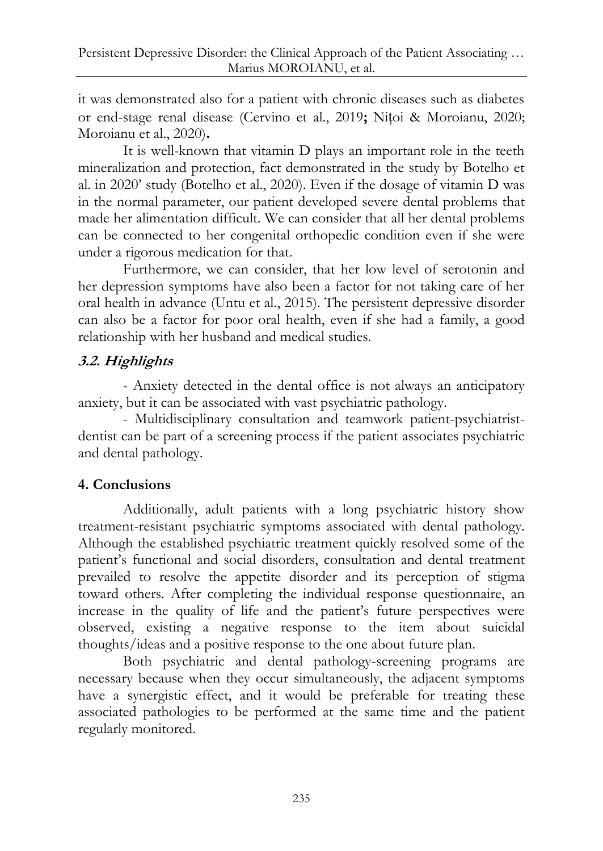it was demonstrated also for a patient with chronic diseases such as diabetes or end-stage renal disease (Cervino et al., 2019**;** Nițoi & Moroianu, 2020; Moroianu et al., 2020)**.**

It is well-known that vitamin D plays an important role in the teeth mineralization and protection, fact demonstrated in the study by Botelho et al. in 2020' study (Botelho et al., 2020). Even if the dosage of vitamin D was in the normal parameter, our patient developed severe dental problems that made her alimentation difficult. We can consider that all her dental problems can be connected to her congenital orthopedic condition even if she were under a rigorous medication for that.

Furthermore, we can consider, that her low level of serotonin and her depression symptoms have also been a factor for not taking care of her oral health in advance (Untu et al., 2015). The persistent depressive disorder can also be a factor for poor oral health, even if she had a family, a good relationship with her husband and medical studies.

# **3.2. Highlights**

- Anxiety detected in the dental office is not always an anticipatory anxiety, but it can be associated with vast psychiatric pathology.

- Multidisciplinary consultation and teamwork patient-psychiatristdentist can be part of a screening process if the patient associates psychiatric and dental pathology.

## **4. Conclusions**

Additionally, adult patients with a long psychiatric history show treatment-resistant psychiatric symptoms associated with dental pathology. Although the established psychiatric treatment quickly resolved some of the patient's functional and social disorders, consultation and dental treatment prevailed to resolve the appetite disorder and its perception of stigma toward others. After completing the individual response questionnaire, an increase in the quality of life and the patient's future perspectives were observed, existing a negative response to the item about suicidal thoughts/ideas and a positive response to the one about future plan.

Both psychiatric and dental pathology-screening programs are necessary because when they occur simultaneously, the adjacent symptoms have a synergistic effect, and it would be preferable for treating these associated pathologies to be performed at the same time and the patient regularly monitored.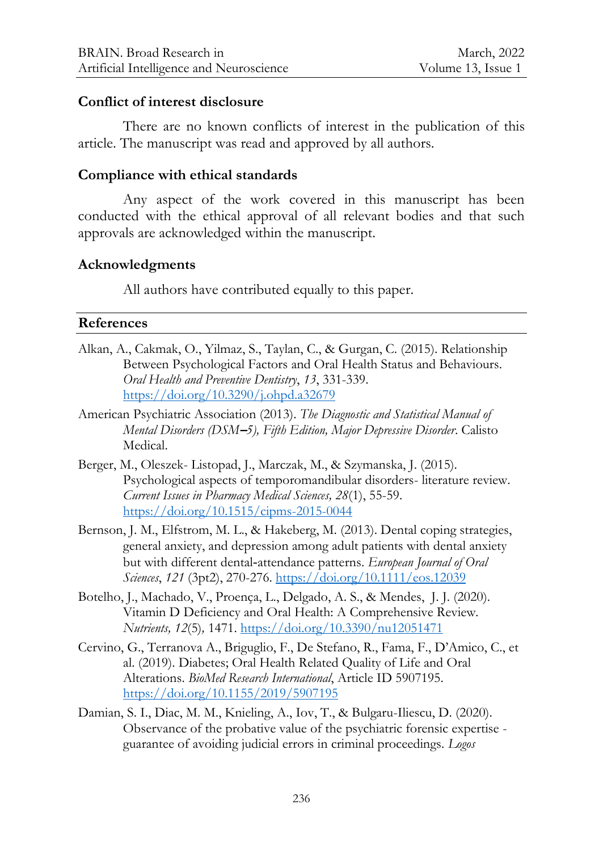### **Conflict of interest disclosure**

There are no known conflicts of interest in the publication of this article. The manuscript was read and approved by all authors.

### **Compliance with ethical standards**

Any aspect of the work covered in this manuscript has been conducted with the ethical approval of all relevant bodies and that such approvals are acknowledged within the manuscript.

### **Acknowledgments**

All authors have contributed equally to this paper.

#### **References**

- Alkan, A., Cakmak, O., Yilmaz, S., Taylan, C., & Gurgan, C. (2015). Relationship Between Psychological Factors and Oral Health Status and Behaviours. *Oral Health and Preventive Dentistry*, *13*, 331-339. <https://doi.org/10.3290/j.ohpd.a32679>
- American Psychiatric Association (2013). *The Diagnostic and Statistical Manual of Mental Disorders (DSM***–***5), Fifth Edition, Major Depressive Disorder*. Calisto Medical.
- Berger, M., Oleszek- Listopad, J., Marczak, M., & Szymanska, J. (2015). Psychological aspects of temporomandibular disorders- literature review. *Current Issues in Pharmacy Medical Sciences, 28*(1), 55-59. <https://doi.org/10.1515/cipms-2015-0044>
- Bernson, J. M., Elfstrom, M. L., & Hakeberg, M. (2013). Dental coping strategies, general anxiety, and depression among adult patients with dental anxiety but with different dental‐attendance patterns. *European Journal of Oral Sciences*, *121* (3pt2), 270-276.<https://doi.org/10.1111/eos.12039>
- Botelho, J., Machado, V., Proença, L., Delgado, A. S., & Mendes, J. J. (2020). Vitamin D Deficiency and Oral Health: A Comprehensive Review*. Nutrients, 12*(5)*,* 1471. <https://doi.org/10.3390/nu12051471>
- Cervino, G., Terranova A., Briguglio, F., De Stefano, R., Fama, F., D'Amico, C., et al. (2019). Diabetes; Oral Health Related Quality of Life and Oral Alterations. *BioMed Research International*, Article ID 5907195. <https://doi.org/10.1155/2019/5907195>
- Damian, S. I., Diac, M. M., Knieling, A., Iov, T., & Bulgaru-Iliescu, D. (2020). Observance of the probative value of the psychiatric forensic expertise guarantee of avoiding judicial errors in criminal proceedings. *Logos*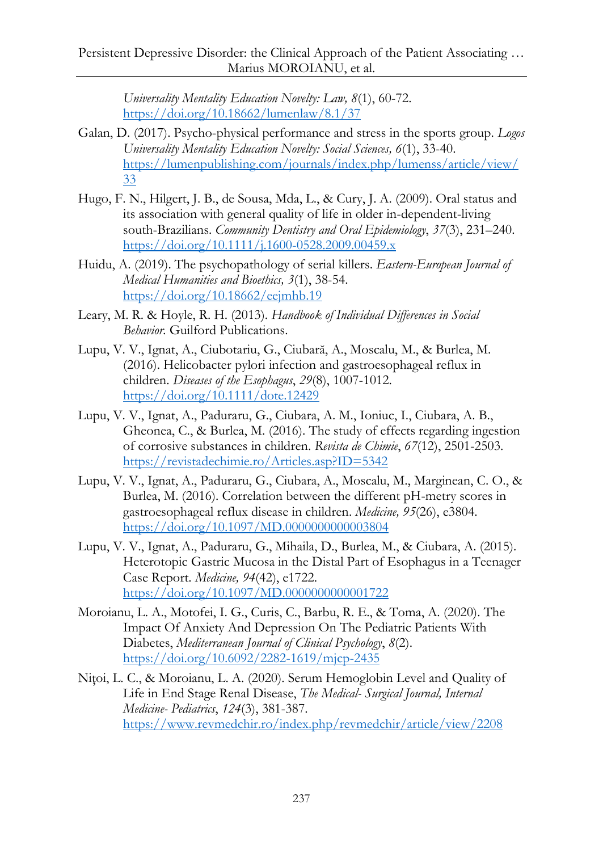*Universality Mentality Education Novelty: Law, 8*(1), 60-72. <https://doi.org/10.18662/lumenlaw/8.1/37>

- Galan, D. (2017). Psycho-physical performance and stress in the sports group. *Logos Universality Mentality Education Novelty: Social Sciences, 6*(1), 33-40. [https://lumenpublishing.com/journals/index.php/lumenss/article/view/](https://lumenpublishing.com/journals/index.php/lumenss/article/view/33) [33](https://lumenpublishing.com/journals/index.php/lumenss/article/view/33)
- Hugo, F. N., Hilgert, J. B., de Sousa, Mda, L., & Cury, J. A. (2009). Oral status and its association with general quality of life in older in-dependent-living south-Brazilians. *Community Dentistry and Oral Epidemiology*, *37*(3), 231–240. <https://doi.org/10.1111/j.1600-0528.2009.00459.x>
- Huidu, A. (2019). The psychopathology of serial killers. *Eastern-European Journal of Medical Humanities and Bioethics, 3*(1), 38-54. <https://doi.org/10.18662/eejmhb.19>
- Leary, M. R. & Hoyle, R. H. (2013). *Handbook of Individual Differences in Social Behavior.* Guilford Publications.
- Lupu, V. V., Ignat, A., Ciubotariu, G., Ciubară, A., Moscalu, M., & Burlea, M. (2016). Helicobacter pylori infection and gastroesophageal reflux in children. *Diseases of the Esophagus*, *29*(8), 1007-1012. <https://doi.org/10.1111/dote.12429>
- Lupu, V. V., Ignat, A., Paduraru, G., Ciubara, A. M., Ioniuc, I., Ciubara, A. B., Gheonea, C., & Burlea, M. (2016). The study of effects regarding ingestion of corrosive substances in children. *Revista de Chimie*, *67*(12), 2501-2503. <https://revistadechimie.ro/Articles.asp?ID=5342>
- [Lupu, V. V.](https://www.webofscience.com/wos/author/record/1746968), [Ignat, A.](https://www.webofscience.com/wos/author/record/2311391), [Paduraru, G.](https://www.webofscience.com/wos/author/record/3026138), [Ciubara, A.](https://www.webofscience.com/wos/author/record/1757602), [Moscalu, M.,](https://www.webofscience.com/wos/author/record/1202861) [Marginean, C. O.](https://www.webofscience.com/wos/author/record/1383484), & [Burlea, M.](https://www.webofscience.com/wos/author/record/1065449) (2016). Correlation between the different pH-metry scores in gastroesophageal reflux disease in children. *Medicine, 95*(26), e3804. <https://doi.org/10.1097/MD.0000000000003804>
- Lupu, V. V., Ignat, A., Paduraru, G., Mihaila, D., Burlea, M., & Ciubara, A. (2015). Heterotopic Gastric Mucosa in the Distal Part of Esophagus in a Teenager Case Report. *Medicine, 94*(42), e1722. <https://doi.org/10.1097/MD.0000000000001722>
- Moroianu, L. A., Motofei, I. G., Curis, C., Barbu, R. E., & Toma, A. (2020). The Impact Of Anxiety And Depression On The Pediatric Patients With Diabetes, *Mediterranean Journal of Clinical Psychology*, *8*(2). <https://doi.org/10.6092/2282-1619/mjcp-2435>
- Niţoi, L. C., & Moroianu, L. A. (2020). Serum Hemoglobin Level and Quality of Life in End Stage Renal Disease, *The Medical- Surgical Journal, Internal Medicine- Pediatrics*, *124*(3), 381-387. <https://www.revmedchir.ro/index.php/revmedchir/article/view/2208>